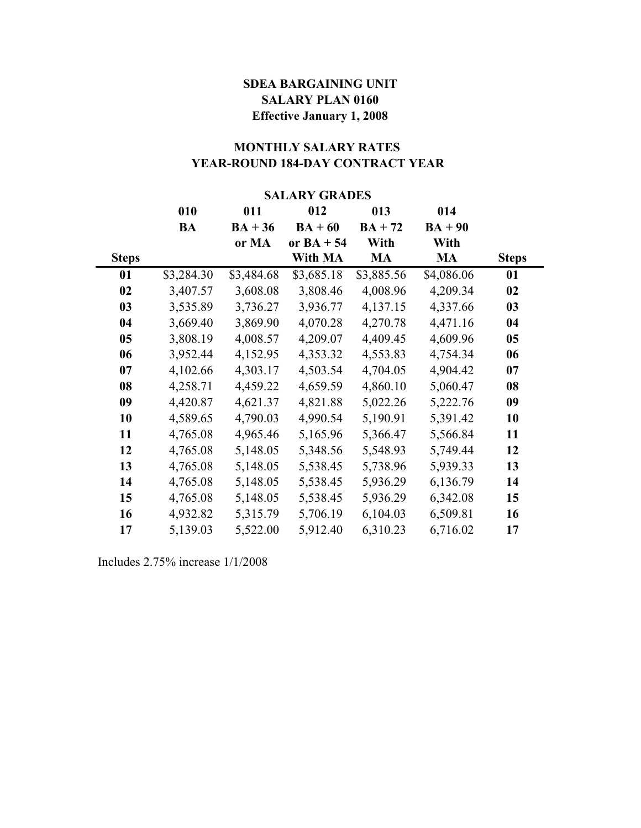## **SALARY PLAN 0160 Effective January 1, 2008 SDEA BARGAINING UNIT**

# **YEAR-ROUND 184-DAY CONTRACT YEAR MONTHLY SALARY RATES**

#### **SALARY GRADES**

|                | 010        | 011        | 012          | 013        | 014        |              |
|----------------|------------|------------|--------------|------------|------------|--------------|
|                | BA         | $BA + 36$  | $BA + 60$    | $BA + 72$  | $BA + 90$  |              |
|                |            | or MA      | or $BA + 54$ | With       | With       |              |
| <b>Steps</b>   |            |            | With MA      | <b>MA</b>  | MA         | <b>Steps</b> |
| 01             | \$3,284.30 | \$3,484.68 | \$3,685.18   | \$3,885.56 | \$4,086.06 | 01           |
| 02             | 3,407.57   | 3,608.08   | 3,808.46     | 4,008.96   | 4,209.34   | 02           |
| 03             | 3,535.89   | 3,736.27   | 3,936.77     | 4,137.15   | 4,337.66   | 03           |
| 04             | 3,669.40   | 3,869.90   | 4,070.28     | 4,270.78   | 4,471.16   | 04           |
| 0 <sub>5</sub> | 3,808.19   | 4,008.57   | 4,209.07     | 4,409.45   | 4,609.96   | 05           |
| 06             | 3,952.44   | 4,152.95   | 4,353.32     | 4,553.83   | 4,754.34   | 06           |
| 07             | 4,102.66   | 4,303.17   | 4,503.54     | 4,704.05   | 4,904.42   | 07           |
| 08             | 4,258.71   | 4,459.22   | 4,659.59     | 4,860.10   | 5,060.47   | 08           |
| 09             | 4,420.87   | 4,621.37   | 4,821.88     | 5,022.26   | 5,222.76   | 09           |
| 10             | 4,589.65   | 4,790.03   | 4,990.54     | 5,190.91   | 5,391.42   | 10           |
| 11             | 4,765.08   | 4,965.46   | 5,165.96     | 5,366.47   | 5,566.84   | 11           |
| 12             | 4,765.08   | 5,148.05   | 5,348.56     | 5,548.93   | 5,749.44   | 12           |
| 13             | 4,765.08   | 5,148.05   | 5,538.45     | 5,738.96   | 5,939.33   | 13           |
| 14             | 4,765.08   | 5,148.05   | 5,538.45     | 5,936.29   | 6,136.79   | 14           |
| 15             | 4,765.08   | 5,148.05   | 5,538.45     | 5,936.29   | 6,342.08   | 15           |
| 16             | 4,932.82   | 5,315.79   | 5,706.19     | 6,104.03   | 6,509.81   | 16           |
| 17             | 5,139.03   | 5,522.00   | 5,912.40     | 6,310.23   | 6,716.02   | 17           |

Includes 2.75% increase 1/1/2008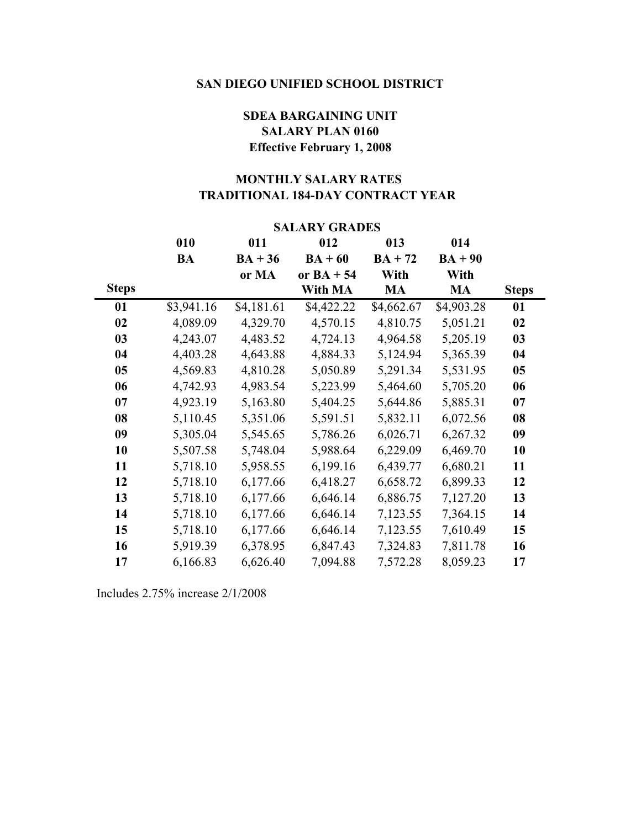## **SALARY PLAN 0160 Effective February 1, 2008 SDEA BARGAINING UNIT**

## **TRADITIONAL 184-DAY CONTRACT YEAR MONTHLY SALARY RATES**

|              | DALANI UNAVLO |            |              |            |            |              |  |
|--------------|---------------|------------|--------------|------------|------------|--------------|--|
|              | 010           | 011        | 012          | 013        | 014        |              |  |
|              | <b>BA</b>     | $BA + 36$  | $BA + 60$    | $BA + 72$  | $BA + 90$  |              |  |
|              |               | or MA      | or $BA + 54$ | With       | With       |              |  |
| <b>Steps</b> |               |            | With MA      | <b>MA</b>  | <b>MA</b>  | <b>Steps</b> |  |
| 01           | \$3,941.16    | \$4,181.61 | \$4,422.22   | \$4,662.67 | \$4,903.28 | 01           |  |
| 02           | 4,089.09      | 4,329.70   | 4,570.15     | 4,810.75   | 5,051.21   | 02           |  |
| 03           | 4,243.07      | 4,483.52   | 4,724.13     | 4,964.58   | 5,205.19   | 03           |  |
| 04           | 4,403.28      | 4,643.88   | 4,884.33     | 5,124.94   | 5,365.39   | 04           |  |
| 05           | 4,569.83      | 4,810.28   | 5,050.89     | 5,291.34   | 5,531.95   | 05           |  |
| 06           | 4,742.93      | 4,983.54   | 5,223.99     | 5,464.60   | 5,705.20   | 06           |  |
| 07           | 4,923.19      | 5,163.80   | 5,404.25     | 5,644.86   | 5,885.31   | 07           |  |
| 08           | 5,110.45      | 5,351.06   | 5,591.51     | 5,832.11   | 6,072.56   | 08           |  |
| 09           | 5,305.04      | 5,545.65   | 5,786.26     | 6,026.71   | 6,267.32   | 09           |  |
| 10           | 5,507.58      | 5,748.04   | 5,988.64     | 6,229.09   | 6,469.70   | 10           |  |
| 11           | 5,718.10      | 5,958.55   | 6,199.16     | 6,439.77   | 6,680.21   | 11           |  |
| 12           | 5,718.10      | 6,177.66   | 6,418.27     | 6,658.72   | 6,899.33   | 12           |  |
| 13           | 5,718.10      | 6,177.66   | 6,646.14     | 6,886.75   | 7,127.20   | 13           |  |
| 14           | 5,718.10      | 6,177.66   | 6,646.14     | 7,123.55   | 7,364.15   | 14           |  |
| 15           | 5,718.10      | 6,177.66   | 6,646.14     | 7,123.55   | 7,610.49   | 15           |  |
| 16           | 5,919.39      | 6,378.95   | 6,847.43     | 7,324.83   | 7,811.78   | 16           |  |
| 17           | 6,166.83      | 6,626.40   | 7,094.88     | 7,572.28   | 8,059.23   | 17           |  |

## **SALARY GRADES**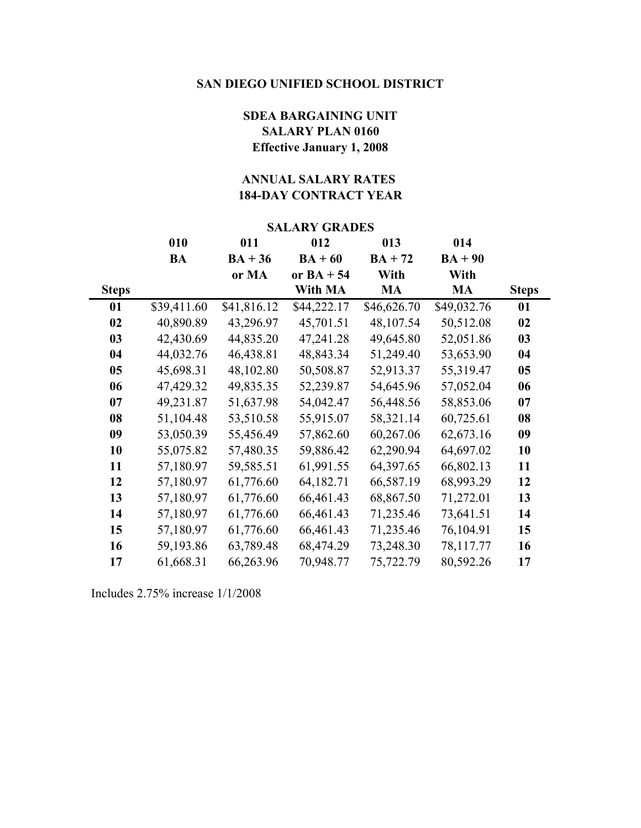## **SALARY PLAN 0160 Effective January 1, 2008 SDEA BARGAINING UNIT**

## **184-DAY CONTRACT YEAR ANNUAL SALARY RATES**

| <b>SALARY GRADES</b> |             |             |              |             |             |              |
|----------------------|-------------|-------------|--------------|-------------|-------------|--------------|
|                      | 010         | 011         | 012          | 013         | 014         |              |
|                      | <b>BA</b>   | $BA + 36$   | $BA + 60$    | $BA + 72$   | $BA + 90$   |              |
|                      |             | or MA       | or $BA + 54$ | With        | With        |              |
| <b>Steps</b>         |             |             | With MA      | <b>MA</b>   | <b>MA</b>   | <b>Steps</b> |
| 01                   | \$39,411.60 | \$41,816.12 | \$44,222.17  | \$46,626.70 | \$49,032.76 | 01           |
| 02                   | 40,890.89   | 43,296.97   | 45,701.51    | 48,107.54   | 50,512.08   | 02           |
| 03                   | 42,430.69   | 44,835.20   | 47,241.28    | 49,645.80   | 52,051.86   | 03           |
| 04                   | 44,032.76   | 46,438.81   | 48,843.34    | 51,249.40   | 53,653.90   | 04           |
| 05                   | 45,698.31   | 48,102.80   | 50,508.87    | 52,913.37   | 55,319.47   | 05           |
| 06                   | 47,429.32   | 49,835.35   | 52,239.87    | 54,645.96   | 57,052.04   | 06           |
| 07                   | 49,231.87   | 51,637.98   | 54,042.47    | 56,448.56   | 58,853.06   | 07           |
| 08                   | 51,104.48   | 53,510.58   | 55,915.07    | 58,321.14   | 60,725.61   | 08           |
| 09                   | 53,050.39   | 55,456.49   | 57,862.60    | 60,267.06   | 62,673.16   | 09           |
| 10                   | 55,075.82   | 57,480.35   | 59,886.42    | 62,290.94   | 64,697.02   | 10           |
| 11                   | 57,180.97   | 59,585.51   | 61,991.55    | 64,397.65   | 66,802.13   | 11           |
| 12                   | 57,180.97   | 61,776.60   | 64,182.71    | 66,587.19   | 68,993.29   | 12           |
| 13                   | 57,180.97   | 61,776.60   | 66,461.43    | 68,867.50   | 71,272.01   | 13           |
| 14                   | 57,180.97   | 61,776.60   | 66,461.43    | 71,235.46   | 73,641.51   | 14           |
| 15                   | 57,180.97   | 61,776.60   | 66,461.43    | 71,235.46   | 76,104.91   | 15           |
| 16                   | 59,193.86   | 63,789.48   | 68,474.29    | 73,248.30   | 78,117.77   | 16           |
| 17                   | 61,668.31   | 66,263.96   | 70,948.77    | 75,722.79   | 80,592.26   | 17           |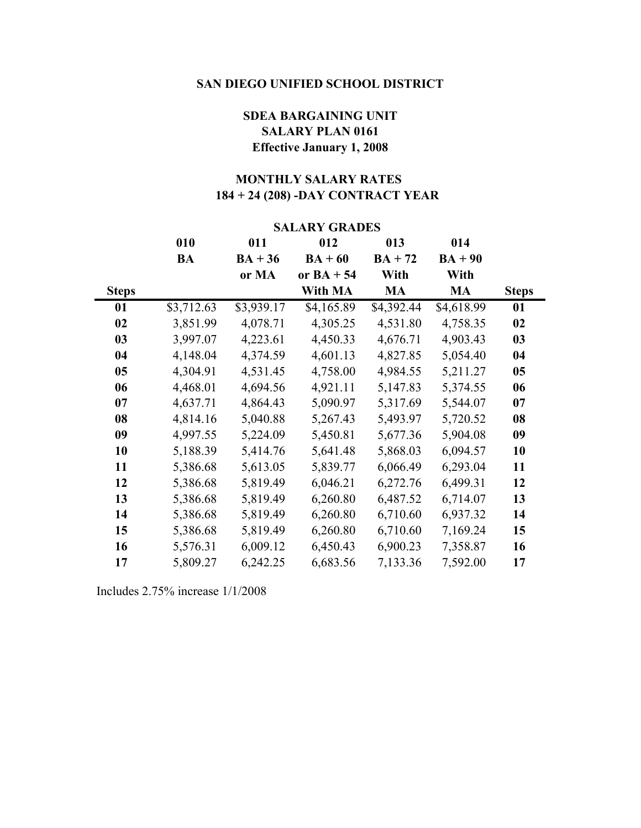## **SDEA BARGAINING UNIT SALARY PLAN 0161 Effective January 1, 2008**

## **184 + 24 (208) -DAY CONTRACT YEAR MONTHLY SALARY RATES**

|              | <b>SALARY GRADES</b> |            |              |            |            |              |
|--------------|----------------------|------------|--------------|------------|------------|--------------|
|              | 010                  | 011        | 012          | 013        | 014        |              |
|              | <b>BA</b>            | $BA + 36$  | $BA + 60$    | $BA + 72$  | $BA + 90$  |              |
|              |                      | or MA      | or $BA + 54$ | With       | With       |              |
| <b>Steps</b> |                      |            | With MA      | <b>MA</b>  | <b>MA</b>  | <b>Steps</b> |
| 01           | \$3,712.63           | \$3,939.17 | \$4,165.89   | \$4,392.44 | \$4,618.99 | 01           |
| 02           | 3,851.99             | 4,078.71   | 4,305.25     | 4,531.80   | 4,758.35   | 02           |
| 03           | 3,997.07             | 4,223.61   | 4,450.33     | 4,676.71   | 4,903.43   | 03           |
| 04           | 4,148.04             | 4,374.59   | 4,601.13     | 4,827.85   | 5,054.40   | 04           |
| 05           | 4,304.91             | 4,531.45   | 4,758.00     | 4,984.55   | 5,211.27   | 05           |
| 06           | 4,468.01             | 4,694.56   | 4,921.11     | 5,147.83   | 5,374.55   | 06           |
| 07           | 4,637.71             | 4,864.43   | 5,090.97     | 5,317.69   | 5,544.07   | 07           |
| 08           | 4,814.16             | 5,040.88   | 5,267.43     | 5,493.97   | 5,720.52   | 08           |
| 09           | 4,997.55             | 5,224.09   | 5,450.81     | 5,677.36   | 5,904.08   | 09           |
| 10           | 5,188.39             | 5,414.76   | 5,641.48     | 5,868.03   | 6,094.57   | 10           |
| 11           | 5,386.68             | 5,613.05   | 5,839.77     | 6,066.49   | 6,293.04   | 11           |
| 12           | 5,386.68             | 5,819.49   | 6,046.21     | 6,272.76   | 6,499.31   | 12           |
| 13           | 5,386.68             | 5,819.49   | 6,260.80     | 6,487.52   | 6,714.07   | 13           |
| 14           | 5,386.68             | 5,819.49   | 6,260.80     | 6,710.60   | 6,937.32   | 14           |
| 15           | 5,386.68             | 5,819.49   | 6,260.80     | 6,710.60   | 7,169.24   | 15           |
| 16           | 5,576.31             | 6,009.12   | 6,450.43     | 6,900.23   | 7,358.87   | 16           |
| 17           | 5,809.27             | 6,242.25   | 6,683.56     | 7,133.36   | 7,592.00   | 17           |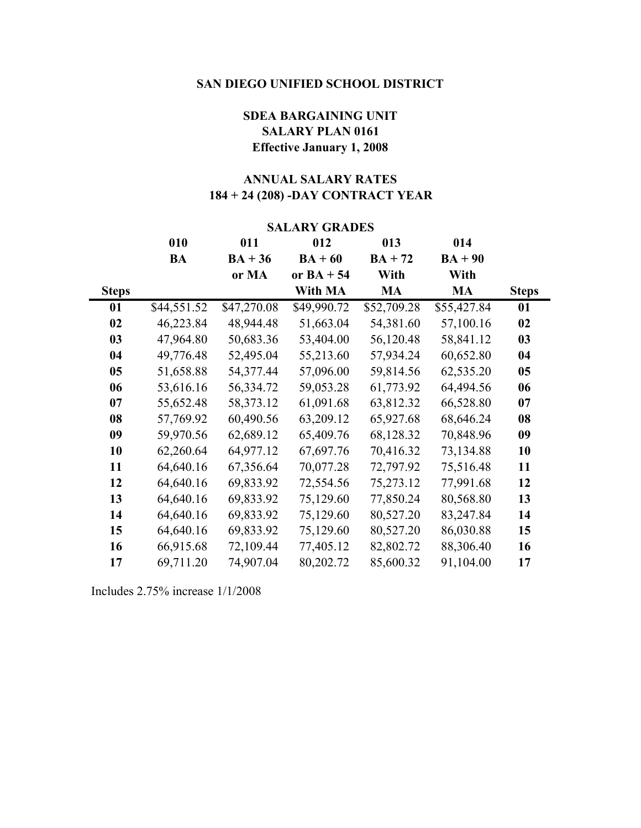## **SALARY PLAN 0161 SDEA BARGAINING UNIT Effective January 1, 2008**

## **184 + 24 (208) -DAY CONTRACT YEAR ANNUAL SALARY RATES**

| <b>SALARY GRADES</b> |             |             |              |             |             |              |
|----------------------|-------------|-------------|--------------|-------------|-------------|--------------|
|                      | 010         | 011         | 012          | 013         | 014         |              |
|                      | <b>BA</b>   | $BA + 36$   | $BA + 60$    | $BA + 72$   | $BA + 90$   |              |
|                      |             | or MA       | or $BA + 54$ | With        | With        |              |
| <b>Steps</b>         |             |             | With MA      | <b>MA</b>   | <b>MA</b>   | <b>Steps</b> |
| 01                   | \$44,551.52 | \$47,270.08 | \$49,990.72  | \$52,709.28 | \$55,427.84 | 01           |
| 02                   | 46,223.84   | 48,944.48   | 51,663.04    | 54,381.60   | 57,100.16   | 02           |
| 03                   | 47,964.80   | 50,683.36   | 53,404.00    | 56,120.48   | 58,841.12   | 03           |
| 04                   | 49,776.48   | 52,495.04   | 55,213.60    | 57,934.24   | 60,652.80   | 04           |
| 0 <sub>5</sub>       | 51,658.88   | 54,377.44   | 57,096.00    | 59,814.56   | 62,535.20   | 05           |
| 06                   | 53,616.16   | 56,334.72   | 59,053.28    | 61,773.92   | 64,494.56   | 06           |
| 07                   | 55,652.48   | 58,373.12   | 61,091.68    | 63,812.32   | 66,528.80   | 07           |
| 08                   | 57,769.92   | 60,490.56   | 63,209.12    | 65,927.68   | 68,646.24   | 08           |
| 09                   | 59,970.56   | 62,689.12   | 65,409.76    | 68,128.32   | 70,848.96   | 09           |
| 10                   | 62,260.64   | 64,977.12   | 67,697.76    | 70,416.32   | 73,134.88   | 10           |
| 11                   | 64,640.16   | 67,356.64   | 70,077.28    | 72,797.92   | 75,516.48   | 11           |
| 12                   | 64,640.16   | 69,833.92   | 72,554.56    | 75,273.12   | 77,991.68   | 12           |
| 13                   | 64,640.16   | 69,833.92   | 75,129.60    | 77,850.24   | 80,568.80   | 13           |
| 14                   | 64,640.16   | 69,833.92   | 75,129.60    | 80,527.20   | 83,247.84   | 14           |
| 15                   | 64,640.16   | 69,833.92   | 75,129.60    | 80,527.20   | 86,030.88   | 15           |
| 16                   | 66,915.68   | 72,109.44   | 77,405.12    | 82,802.72   | 88,306.40   | 16           |
| 17                   | 69,711.20   | 74,907.04   | 80,202.72    | 85,600.32   | 91,104.00   | 17           |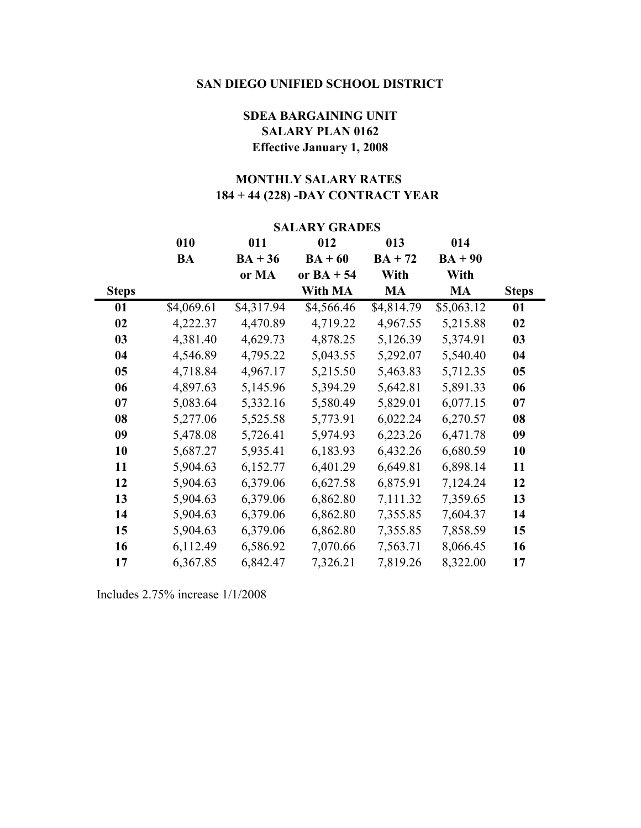## **SDEA BARGAINING UNIT SALARY PLAN 0162 Effective January 1, 2008**

## **184 + 44 (228) -DAY CONTRACT YEAR MONTHLY SALARY RATES**

|              | <b>SALARY GRADES</b> |            |              |            |            |              |
|--------------|----------------------|------------|--------------|------------|------------|--------------|
|              | 010                  | 011        | 012          | 013        | 014        |              |
|              | <b>BA</b>            | $BA + 36$  | $BA + 60$    | $BA + 72$  | $BA + 90$  |              |
|              |                      | or MA      | or $BA + 54$ | With       | With       |              |
| <b>Steps</b> |                      |            | With MA      | <b>MA</b>  | <b>MA</b>  | <b>Steps</b> |
| 01           | \$4,069.61           | \$4,317.94 | \$4,566.46   | \$4,814.79 | \$5,063.12 | 01           |
| 02           | 4,222.37             | 4,470.89   | 4,719.22     | 4,967.55   | 5,215.88   | 02           |
| 03           | 4,381.40             | 4,629.73   | 4,878.25     | 5,126.39   | 5,374.91   | 03           |
| 04           | 4,546.89             | 4,795.22   | 5,043.55     | 5,292.07   | 5,540.40   | 04           |
| 05           | 4,718.84             | 4,967.17   | 5,215.50     | 5,463.83   | 5,712.35   | 05           |
| 06           | 4,897.63             | 5,145.96   | 5,394.29     | 5,642.81   | 5,891.33   | 06           |
| 07           | 5,083.64             | 5,332.16   | 5,580.49     | 5,829.01   | 6,077.15   | 07           |
| 08           | 5,277.06             | 5,525.58   | 5,773.91     | 6,022.24   | 6,270.57   | 08           |
| 09           | 5,478.08             | 5,726.41   | 5,974.93     | 6,223.26   | 6,471.78   | 09           |
| 10           | 5,687.27             | 5,935.41   | 6,183.93     | 6,432.26   | 6,680.59   | 10           |
| 11           | 5,904.63             | 6,152.77   | 6,401.29     | 6,649.81   | 6,898.14   | 11           |
| 12           | 5,904.63             | 6,379.06   | 6,627.58     | 6,875.91   | 7,124.24   | 12           |
| 13           | 5,904.63             | 6,379.06   | 6,862.80     | 7,111.32   | 7,359.65   | 13           |
| 14           | 5,904.63             | 6,379.06   | 6,862.80     | 7,355.85   | 7,604.37   | 14           |
| 15           | 5,904.63             | 6,379.06   | 6,862.80     | 7,355.85   | 7,858.59   | 15           |
| 16           | 6,112.49             | 6,586.92   | 7,070.66     | 7,563.71   | 8,066.45   | 16           |
| 17           | 6,367.85             | 6,842.47   | 7,326.21     | 7,819.26   | 8,322.00   | 17           |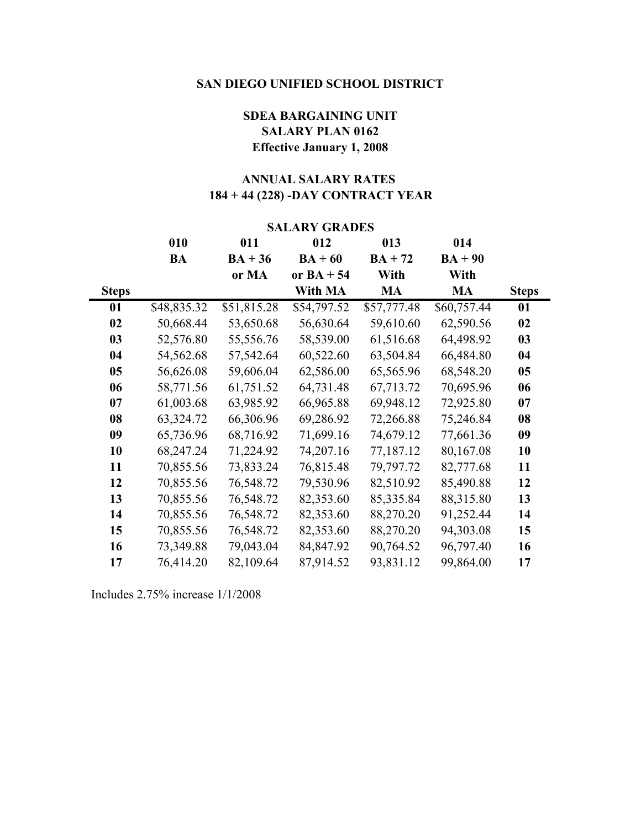## **SDEA BARGAINING UNIT SALARY PLAN 0162 Effective January 1, 2008**

## **184 + 44 (228) -DAY CONTRACT YEAR ANNUAL SALARY RATES**

| <b>SALARY GRADES</b> |             |             |              |             |             |              |
|----------------------|-------------|-------------|--------------|-------------|-------------|--------------|
|                      | 010         | 011         | 012          | 013         | 014         |              |
|                      | <b>BA</b>   | $BA + 36$   | $BA + 60$    | $BA + 72$   | $BA + 90$   |              |
|                      |             | or MA       | or $BA + 54$ | With        | With        |              |
| <b>Steps</b>         |             |             | With MA      | <b>MA</b>   | MA          | <b>Steps</b> |
| 01                   | \$48,835.32 | \$51,815.28 | \$54,797.52  | \$57,777.48 | \$60,757.44 | 01           |
| 02                   | 50,668.44   | 53,650.68   | 56,630.64    | 59,610.60   | 62,590.56   | 02           |
| 03                   | 52,576.80   | 55,556.76   | 58,539.00    | 61,516.68   | 64,498.92   | 03           |
| 04                   | 54,562.68   | 57,542.64   | 60,522.60    | 63,504.84   | 66,484.80   | 04           |
| 05                   | 56,626.08   | 59,606.04   | 62,586.00    | 65,565.96   | 68,548.20   | 05           |
| 06                   | 58,771.56   | 61,751.52   | 64,731.48    | 67,713.72   | 70,695.96   | 06           |
| 07                   | 61,003.68   | 63,985.92   | 66,965.88    | 69,948.12   | 72,925.80   | 07           |
| 08                   | 63,324.72   | 66,306.96   | 69,286.92    | 72,266.88   | 75,246.84   | 08           |
| 09                   | 65,736.96   | 68,716.92   | 71,699.16    | 74,679.12   | 77,661.36   | 09           |
| 10                   | 68,247.24   | 71,224.92   | 74,207.16    | 77,187.12   | 80,167.08   | 10           |
| 11                   | 70,855.56   | 73,833.24   | 76,815.48    | 79,797.72   | 82,777.68   | 11           |
| 12                   | 70,855.56   | 76,548.72   | 79,530.96    | 82,510.92   | 85,490.88   | 12           |
| 13                   | 70,855.56   | 76,548.72   | 82,353.60    | 85,335.84   | 88,315.80   | 13           |
| 14                   | 70,855.56   | 76,548.72   | 82,353.60    | 88,270.20   | 91,252.44   | 14           |
| 15                   | 70,855.56   | 76,548.72   | 82,353.60    | 88,270.20   | 94,303.08   | 15           |
| 16                   | 73,349.88   | 79,043.04   | 84,847.92    | 90,764.52   | 96,797.40   | 16           |
| 17                   | 76,414.20   | 82,109.64   | 87,914.52    | 93,831.12   | 99,864.00   | 17           |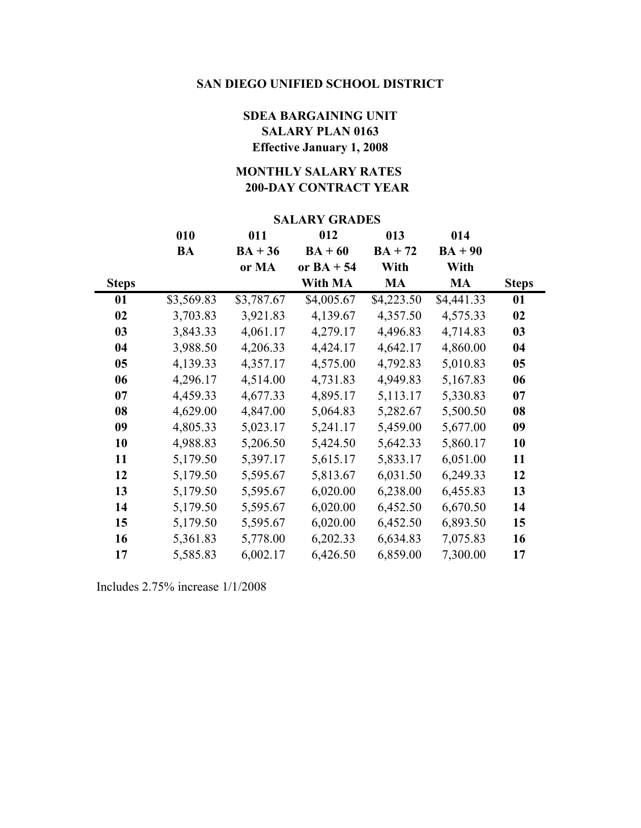## **SDEA BARGAINING UNIT SALARY PLAN 0163 Effective January 1, 2008**

## **200-DAY CONTRACT YEAR MONTHLY SALARY RATES**

#### **SALARY GRADES**

|              | 010        | 011        | 012          | 013        | 014        |              |
|--------------|------------|------------|--------------|------------|------------|--------------|
|              | <b>BA</b>  | $BA + 36$  | $BA + 60$    | $BA + 72$  | $BA + 90$  |              |
|              |            | or MA      | or $BA + 54$ | With       | With       |              |
| <b>Steps</b> |            |            | With MA      | MA         | <b>MA</b>  | <b>Steps</b> |
| 01           | \$3,569.83 | \$3,787.67 | \$4,005.67   | \$4,223.50 | \$4,441.33 | 01           |
| 02           | 3,703.83   | 3,921.83   | 4,139.67     | 4,357.50   | 4,575.33   | 02           |
| 03           | 3,843.33   | 4,061.17   | 4,279.17     | 4,496.83   | 4,714.83   | 03           |
| 04           | 3,988.50   | 4,206.33   | 4,424.17     | 4,642.17   | 4,860.00   | 04           |
| 05           | 4,139.33   | 4,357.17   | 4,575.00     | 4,792.83   | 5,010.83   | 05           |
| 06           | 4,296.17   | 4,514.00   | 4,731.83     | 4,949.83   | 5,167.83   | 06           |
| 07           | 4,459.33   | 4,677.33   | 4,895.17     | 5,113.17   | 5,330.83   | 07           |
| 08           | 4,629.00   | 4,847.00   | 5,064.83     | 5,282.67   | 5,500.50   | 08           |
| 09           | 4,805.33   | 5,023.17   | 5,241.17     | 5,459.00   | 5,677.00   | 09           |
| 10           | 4,988.83   | 5,206.50   | 5,424.50     | 5,642.33   | 5,860.17   | 10           |
| 11           | 5,179.50   | 5,397.17   | 5,615.17     | 5,833.17   | 6,051.00   | 11           |
| 12           | 5,179.50   | 5,595.67   | 5,813.67     | 6,031.50   | 6,249.33   | 12           |
| 13           | 5,179.50   | 5,595.67   | 6,020.00     | 6,238.00   | 6,455.83   | 13           |
| 14           | 5,179.50   | 5,595.67   | 6,020.00     | 6,452.50   | 6,670.50   | 14           |
| 15           | 5,179.50   | 5,595.67   | 6,020.00     | 6,452.50   | 6,893.50   | 15           |
| 16           | 5,361.83   | 5,778.00   | 6,202.33     | 6,634.83   | 7,075.83   | 16           |
| 17           | 5,585.83   | 6,002.17   | 6,426.50     | 6,859.00   | 7,300.00   | 17           |